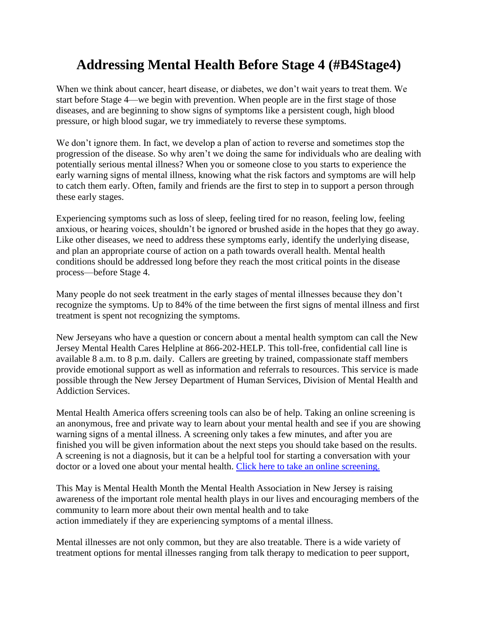## **Addressing Mental Health Before Stage 4 (#B4Stage4)**

When we think about cancer, heart disease, or diabetes, we don't wait years to treat them. We start before Stage 4—we begin with prevention. When people are in the first stage of those diseases, and are beginning to show signs of symptoms like a persistent cough, high blood pressure, or high blood sugar, we try immediately to reverse these symptoms.

We don't ignore them. In fact, we develop a plan of action to reverse and sometimes stop the progression of the disease. So why aren't we doing the same for individuals who are dealing with potentially serious mental illness? When you or someone close to you starts to experience the early warning signs of mental illness, knowing what the risk factors and symptoms are will help to catch them early. Often, family and friends are the first to step in to support a person through these early stages.

Experiencing symptoms such as loss of sleep, feeling tired for no reason, feeling low, feeling anxious, or hearing voices, shouldn't be ignored or brushed aside in the hopes that they go away. Like other diseases, we need to address these symptoms early, identify the underlying disease, and plan an appropriate course of action on a path towards overall health. Mental health conditions should be addressed long before they reach the most critical points in the disease process—before Stage 4.

Many people do not seek treatment in the early stages of mental illnesses because they don't recognize the symptoms. Up to 84% of the time between the first signs of mental illness and first treatment is spent not recognizing the symptoms.

New Jerseyans who have a question or concern about a mental health symptom can call the New Jersey Mental Health Cares Helpline at 866-202-HELP. This toll-free, confidential call line is available 8 a.m. to 8 p.m. daily. Callers are greeting by trained, compassionate staff members provide emotional support as well as information and referrals to resources. This service is made possible through the New Jersey Department of Human Services, Division of Mental Health and Addiction Services.

Mental Health America offers screening tools can also be of help. Taking an online screening is an anonymous, free and private way to learn about your mental health and see if you are showing warning signs of a mental illness. A screening only takes a few minutes, and after you are finished you will be given information about the next steps you should take based on the results. A screening is not a diagnosis, but it can be a helpful tool for starting a conversation with your doctor or a loved one about your mental health. [Click here to take an online screening.](https://screening.mhanational.org/screening-tools?ref=MHANJ)

This May is Mental Health Month the Mental Health Association in New Jersey is raising awareness of the important role mental health plays in our lives and encouraging members of the community to learn more about their own mental health and to take action immediately if they are experiencing symptoms of a mental illness.

Mental illnesses are not only common, but they are also treatable. There is a wide variety of treatment options for mental illnesses ranging from talk therapy to medication to peer support,